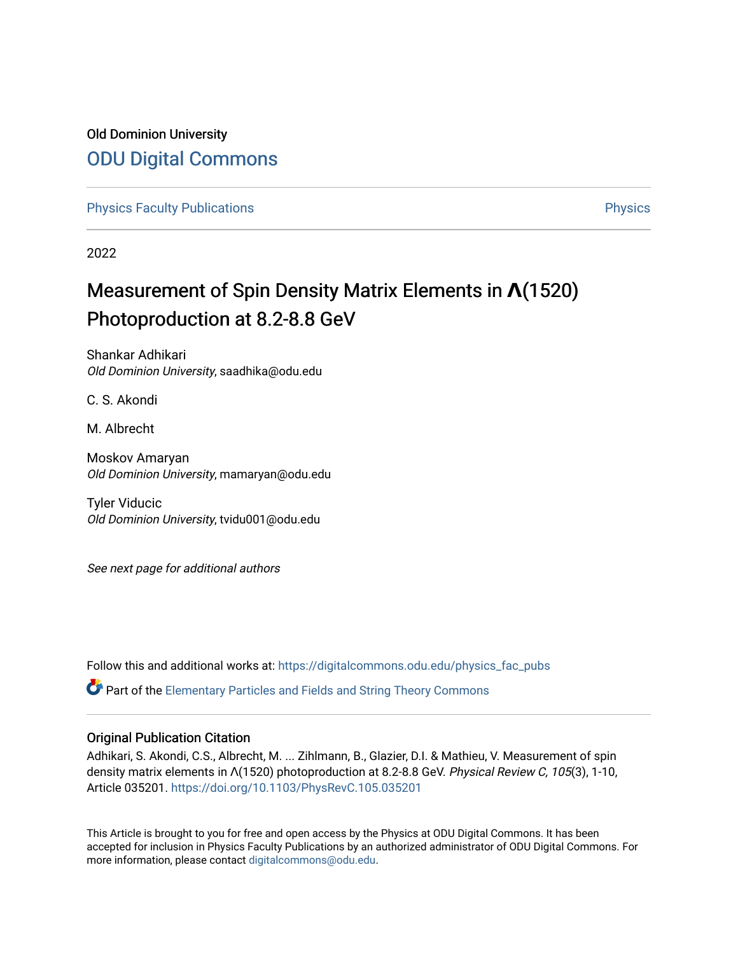## Old Dominion University [ODU Digital Commons](https://digitalcommons.odu.edu/)

[Physics Faculty Publications](https://digitalcommons.odu.edu/physics_fac_pubs) **Physics** [Physics](https://digitalcommons.odu.edu/physics) Physics

2022

# Measurement of Spin Density Matrix Elements in **Λ**(1520) Photoproduction at 8.2-8.8 GeV

Shankar Adhikari Old Dominion University, saadhika@odu.edu

C. S. Akondi

M. Albrecht

Moskov Amaryan Old Dominion University, mamaryan@odu.edu

Tyler Viducic Old Dominion University, tvidu001@odu.edu

See next page for additional authors

Follow this and additional works at: [https://digitalcommons.odu.edu/physics\\_fac\\_pubs](https://digitalcommons.odu.edu/physics_fac_pubs?utm_source=digitalcommons.odu.edu%2Fphysics_fac_pubs%2F578&utm_medium=PDF&utm_campaign=PDFCoverPages) 

 $\bullet$  Part of the [Elementary Particles and Fields and String Theory Commons](http://network.bepress.com/hgg/discipline/199?utm_source=digitalcommons.odu.edu%2Fphysics_fac_pubs%2F578&utm_medium=PDF&utm_campaign=PDFCoverPages)

## Original Publication Citation

Adhikari, S. Akondi, C.S., Albrecht, M. ... Zihlmann, B., Glazier, D.I. & Mathieu, V. Measurement of spin density matrix elements in Λ(1520) photoproduction at 8.2-8.8 GeV. Physical Review C, 105(3), 1-10, Article 035201.<https://doi.org/10.1103/PhysRevC.105.035201>

This Article is brought to you for free and open access by the Physics at ODU Digital Commons. It has been accepted for inclusion in Physics Faculty Publications by an authorized administrator of ODU Digital Commons. For more information, please contact [digitalcommons@odu.edu.](mailto:digitalcommons@odu.edu)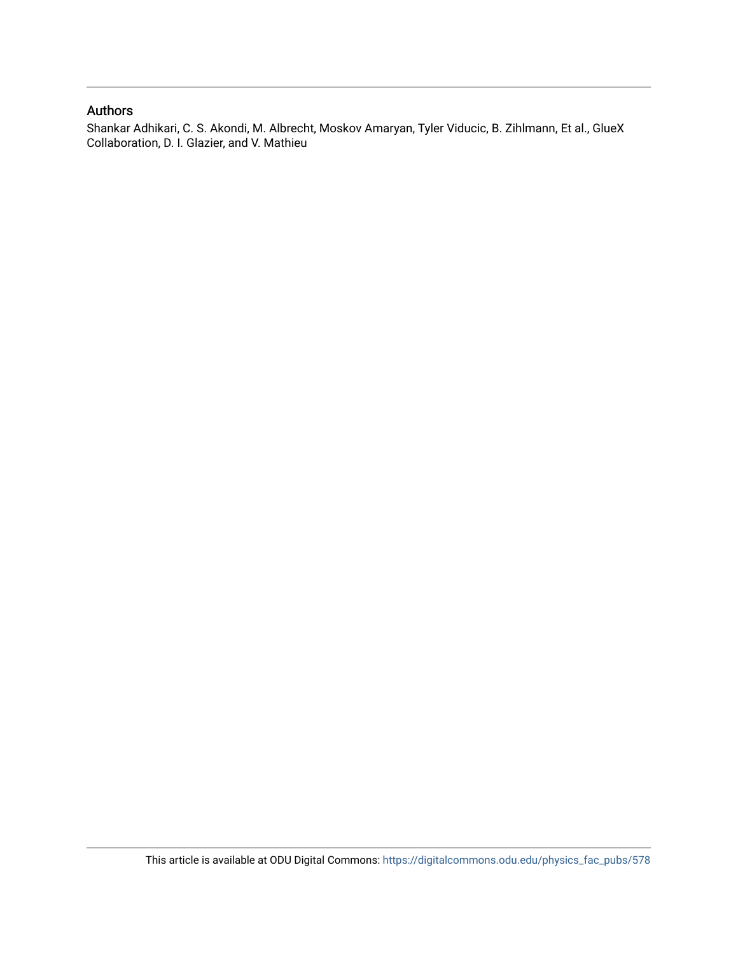### Authors

Shankar Adhikari, C. S. Akondi, M. Albrecht, Moskov Amaryan, Tyler Viducic, B. Zihlmann, Et al., GlueX Collaboration, D. I. Glazier, and V. Mathieu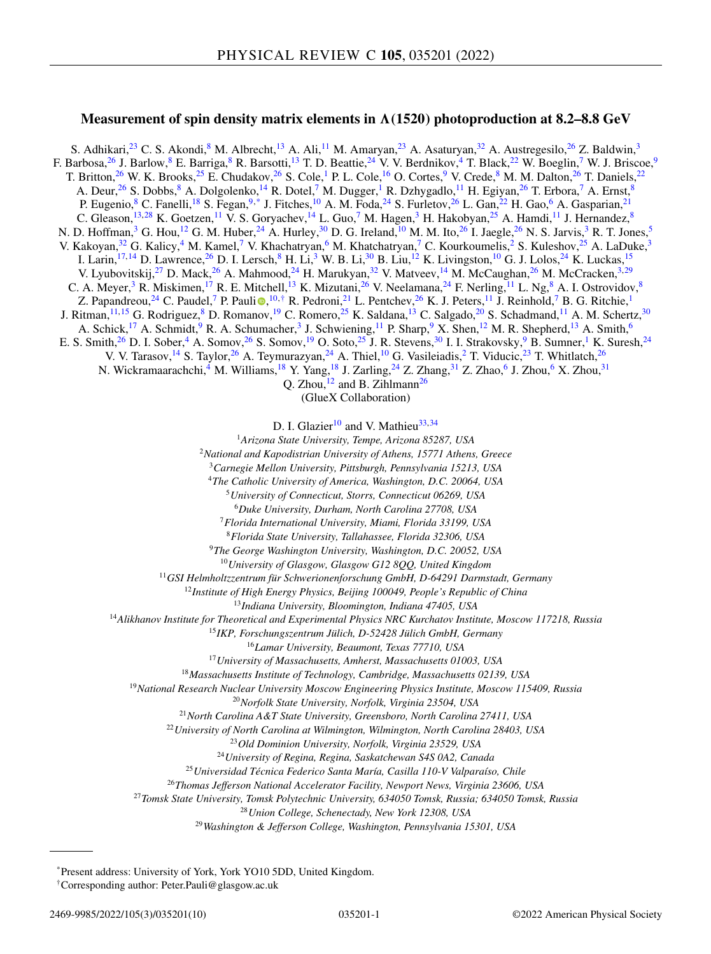## **Measurement of spin density matrix elements in**  $\Lambda$  **(1520) photoproduction at 8.2–8.8 GeV**

S. Adhikari,<sup>23</sup> C. S. Akondi,<sup>8</sup> M. Albrecht,<sup>13</sup> A. Ali,<sup>11</sup> M. Amaryan,<sup>23</sup> A. Asaturyan,<sup>[32](#page-3-0)</sup> A. Austregesilo,<sup>26</sup> Z. Baldwin,<sup>3</sup> F. Barbosa,<sup>26</sup> J. Barlow,<sup>8</sup> E. Barriga,<sup>8</sup> R. Barsotti,<sup>13</sup> T. D. Beattie,<sup>24</sup> V. V. Berdnikov,<sup>4</sup> T. Black,<sup>22</sup> W. Boeglin,<sup>7</sup> W. J. Briscoe,<sup>9</sup> T. Britton,<sup>26</sup> W. K. Brooks,<sup>25</sup> E. Chudakov,<sup>26</sup> S. Cole,<sup>1</sup> P. L. Cole,<sup>16</sup> O. Cortes,<sup>9</sup> V. Crede,<sup>8</sup> M. M. Dalton,<sup>26</sup> T. Daniels,<sup>22</sup> A. Deur,<sup>26</sup> S. Dobbs,<sup>8</sup> A. Dolgolenko,<sup>14</sup> R. Dotel,<sup>7</sup> M. Dugger,<sup>1</sup> R. Dzhygadlo,<sup>11</sup> H. Egiyan,<sup>26</sup> T. Erbora,<sup>7</sup> A. Ernst,<sup>8</sup> P. Eugenio,<sup>8</sup> C. Fanelli,<sup>18</sup> S. Fegan,<sup>9,\*</sup> J. Fitches,<sup>10</sup> A. M. Foda,<sup>24</sup> S. Furletov,<sup>26</sup> L. Gan,<sup>22</sup> H. Gao,<sup>6</sup> A. Gasparian,<sup>21</sup> C. Gleason,<sup>13,28</sup> K. Goetzen,<sup>11</sup> V. S. Goryachev,<sup>14</sup> L. Guo,<sup>7</sup> M. Hagen,<sup>3</sup> H. Hakobyan,<sup>25</sup> A. Hamdi,<sup>11</sup> J. Hernandez,<sup>8</sup> N. D. Hoffman,<sup>3</sup> G. Hou,<sup>12</sup> G. M. Huber,<sup>24</sup> A. Hurley,<sup>[30](#page-3-0)</sup> D. G. Ireland,<sup>10</sup> M. M. Ito,<sup>26</sup> I. Jaegle,<sup>26</sup> N. S. Jarvis,<sup>3</sup> R. T. Jones,<sup>5</sup> V. Kakoyan,<sup>[32](#page-3-0)</sup> G. Kalicy,<sup>4</sup> M. Kamel,<sup>7</sup> V. Khachatryan,<sup>6</sup> M. Khatchatryan,<sup>7</sup> C. Kourkoumelis,<sup>2</sup> S. Kuleshov,<sup>25</sup> A. LaDuke,<sup>3</sup> I. Larin,<sup>17,14</sup> D. Lawrence,<sup>26</sup> D. I. Lersch,<sup>8</sup> H. Li,<sup>3</sup> W. B. Li,<sup>[30](#page-3-0)</sup> B. Liu,<sup>12</sup> K. Livingston,<sup>10</sup> G. J. Lolos,<sup>24</sup> K. Luckas,<sup>15</sup> V. Lyubovitskij,<sup>27</sup> D. Mack,<sup>26</sup> A. Mahmood,<sup>24</sup> H. Marukyan,<sup>[32](#page-3-0)</sup> V. Matveev,<sup>14</sup> M. McCaughan,<sup>26</sup> M. McCracken,<sup>3,29</sup> C. A. Meyer,<sup>3</sup> R. Miskimen,<sup>17</sup> R. E. Mitchell,<sup>13</sup> K. Mizutani,<sup>26</sup> V. Neelamana,<sup>24</sup> F. Nerling,<sup>11</sup> L. Ng,<sup>8</sup> A. I. Ostrovidov,<sup>8</sup> Z. Papandreou,  $^{24}$  C. Paudel,  $^7$  P. Pauli  $\bigcirc$ ,  $^{10, \dagger}$  R. Pedroni,  $^{21}$  L. Pentchev,  $^{26}$  K. J. Peters,  $^{11}$  J. Reinhold,  $^7$  B. G. Ritchie,  $^1$ J. Ritman, 11, 15 G. Rodriguez, <sup>8</sup> D. Romanov, <sup>19</sup> C. Romero, <sup>25</sup> K. Saldana, <sup>13</sup> C. Salgado, <sup>20</sup> S. Schadmand, <sup>11</sup> A. M. Schertz, <sup>[30](#page-3-0)</sup> A. Schick,<sup>17</sup> A. Schmidt,<sup>9</sup> R. A. Schumacher,<sup>3</sup> J. Schwiening,<sup>11</sup> P. Sharp,<sup>9</sup> X. Shen,<sup>12</sup> M. R. Shepherd,<sup>13</sup> A. Smith,<sup>6</sup> E. S. Smith,<sup>26</sup> D. I. Sober,<sup>4</sup> A. Somov,<sup>26</sup> S. Somov,<sup>19</sup> O. Soto,<sup>25</sup> J. R. Stevens,<sup>30</sup> I. I. Strakovsky,<sup>9</sup> B. Sumner,<sup>1</sup> K. Suresh,<sup>24</sup> V. V. Tarasov,<sup>14</sup> S. Taylor,<sup>26</sup> A. Teymurazyan,<sup>24</sup> A. Thiel,<sup>10</sup> G. Vasileiadis,<sup>2</sup> T. Viducic,<sup>23</sup> T. Whitlatch,<sup>26</sup> N. Wickramaarachchi,<sup>4</sup> M. Williams, <sup>18</sup> Y. Yang, <sup>18</sup> J. Zarling, <sup>24</sup> Z. Zhang, <sup>[31](#page-3-0)</sup> Z. Zhao, <sup>6</sup> J. Zhou, <sup>6</sup> X. Zhou, <sup>31</sup> O. Zhou, $^{12}$  and B. Zihlmann<sup>26</sup>  $\bullet$ 

(GlueX Collaboration)

D. I. Glazier<sup>10</sup> and V. Mathieu<sup>33,34</sup>

<sup>1</sup>*Arizona State University, Tempe, Arizona 85287, USA*

<sup>2</sup>*National and Kapodistrian University of Athens, 15771 Athens, Greece*

<sup>3</sup>*Carnegie Mellon University, Pittsburgh, Pennsylvania 15213, USA*

<sup>4</sup>*The Catholic University of America, Washington, D.C. 20064, USA*

<sup>5</sup>*University of Connecticut, Storrs, Connecticut 06269, USA*

<sup>6</sup>*Duke University, Durham, North Carolina 27708, USA*

<sup>7</sup>*Florida International University, Miami, Florida 33199, USA* <sup>8</sup>*Florida State University, Tallahassee, Florida 32306, USA*

<sup>9</sup>*The George Washington University, Washington, D.C. 20052, USA*

<sup>10</sup>*University of Glasgow, Glasgow G12 8QQ, United Kingdom*

<sup>11</sup>*GSI Helmholtzzentrum für Schwerionenforschung GmbH, D-64291 Darmstadt, Germany*

<sup>12</sup>*Institute of High Energy Physics, Beijing 100049, People's Republic of China*

<sup>13</sup>*Indiana University, Bloomington, Indiana 47405, USA*

<sup>14</sup>*Alikhanov Institute for Theoretical and Experimental Physics NRC Kurchatov Institute, Moscow 117218, Russia*

<sup>15</sup>*IKP, Forschungszentrum Jülich, D-52428 Jülich GmbH, Germany*

<sup>16</sup>*Lamar University, Beaumont, Texas 77710, USA*

<sup>17</sup>*University of Massachusetts, Amherst, Massachusetts 01003, USA*

<sup>18</sup>*Massachusetts Institute of Technology, Cambridge, Massachusetts 02139, USA*

<sup>19</sup>*National Research Nuclear University Moscow Engineering Physics Institute, Moscow 115409, Russia*

<sup>20</sup>*Norfolk State University, Norfolk, Virginia 23504, USA*

<sup>21</sup>*North Carolina A&T State University, Greensboro, North Carolina 27411, USA*

<sup>22</sup>*University of North Carolina at Wilmington, Wilmington, North Carolina 28403, USA*

<sup>23</sup>*Old Dominion University, Norfolk, Virginia 23529, USA*

<sup>24</sup>*University of Regina, Regina, Saskatchewan S4S 0A2, Canada*

<sup>25</sup>*Universidad Técnica Federico Santa María, Casilla 110-V Valparaíso, Chile*

<sup>26</sup>*Thomas Jefferson National Accelerator Facility, Newport News, Virginia 23606, USA*

<sup>27</sup>*Tomsk State University, Tomsk Polytechnic University, 634050 Tomsk, Russia; 634050 Tomsk, Russia*

<sup>28</sup>*Union College, Schenectady, New York 12308, USA*

<sup>29</sup>*Washington & Jefferson College, Washington, Pennsylvania 15301, USA*

\*Present address: University of York, York YO10 5DD, United Kingdom.

†Corresponding author: Peter.Pauli@glasgow.ac.uk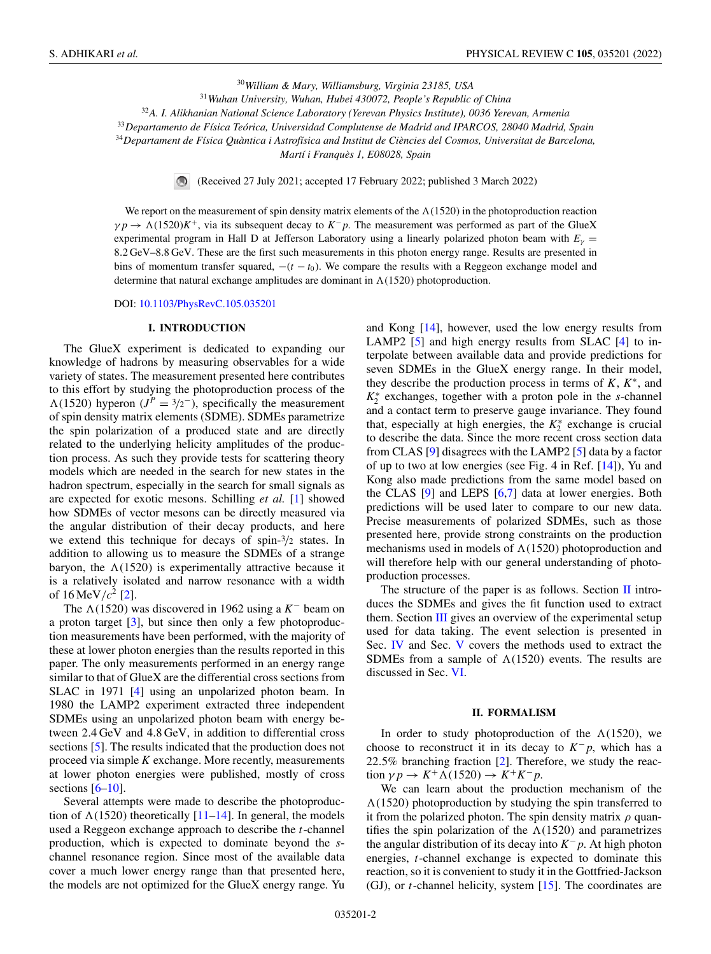<sup>30</sup>*William & Mary, Williamsburg, Virginia 23185, USA* <sup>31</sup>*Wuhan University, Wuhan, Hubei 430072, People's Republic of China*

<sup>32</sup>*A. I. Alikhanian National Science Laboratory (Yerevan Physics Institute), 0036 Yerevan, Armenia*

<span id="page-3-0"></span><sup>33</sup>*Departamento de Física Teórica, Universidad Complutense de Madrid and IPARCOS, 28040 Madrid, Spain*

<sup>34</sup>*Departament de Física Quàntica i Astrofísica and Institut de Ciències del Cosmos, Universitat de Barcelona,*

*Martí i Franquès 1, E08028, Spain*

(Received 27 July 2021; accepted 17 February 2022; published 3 March 2022)

We report on the measurement of spin density matrix elements of the  $\Lambda(1520)$  in the photoproduction reaction  $\gamma p \rightarrow \Lambda (1520)K^+$ , via its subsequent decay to  $K^- p$ . The measurement was performed as part of the GlueX experimental program in Hall D at Jefferson Laboratory using a linearly polarized photon beam with  $E<sub>γ</sub>$  = 8.2 GeV–8.8 GeV. These are the first such measurements in this photon energy range. Results are presented in bins of momentum transfer squared,  $-(t - t_0)$ . We compare the results with a Reggeon exchange model and determine that natural exchange amplitudes are dominant in  $\Lambda(1520)$  photoproduction.

DOI: [10.1103/PhysRevC.105.035201](https://doi.org/10.1103/PhysRevC.105.035201)

#### **I. INTRODUCTION**

The GlueX experiment is dedicated to expanding our knowledge of hadrons by measuring observables for a wide variety of states. The measurement presented here contributes to this effort by studying the photoproduction process of the  $\Lambda(1520)$  hyperon  $(J^P = 3/2^-)$ , specifically the measurement of spin density matrix elements (SDME). SDMEs parametrize the spin polarization of a produced state and are directly related to the underlying helicity amplitudes of the production process. As such they provide tests for scattering theory models which are needed in the search for new states in the hadron spectrum, especially in the search for small signals as are expected for exotic mesons. Schilling *et al.* [\[1\]](#page-10-0) showed how SDMEs of vector mesons can be directly measured via the angular distribution of their decay products, and here we extend this technique for decays of spin-3/<sup>2</sup> states. In addition to allowing us to measure the SDMEs of a strange baryon, the  $\Lambda(1520)$  is experimentally attractive because it is a relatively isolated and narrow resonance with a width of  $16 \,\text{MeV}/c^2$  [\[2\]](#page-10-0).

The  $\Lambda$ (1520) was discovered in 1962 using a *K*<sup>−</sup> beam on a proton target [\[3\]](#page-10-0), but since then only a few photoproduction measurements have been performed, with the majority of these at lower photon energies than the results reported in this paper. The only measurements performed in an energy range similar to that of GlueX are the differential cross sections from SLAC in 1971 [\[4\]](#page-10-0) using an unpolarized photon beam. In 1980 the LAMP2 experiment extracted three independent SDMEs using an unpolarized photon beam with energy between 2.4 GeV and 4.8 GeV, in addition to differential cross sections [\[5\]](#page-10-0). The results indicated that the production does not proceed via simple *K* exchange. More recently, measurements at lower photon energies were published, mostly of cross sections  $[6-10]$ .

Several attempts were made to describe the photoproduction of  $\Lambda(1520)$  theoretically [\[11–14\]](#page-10-0). In general, the models used a Reggeon exchange approach to describe the *t*-channel production, which is expected to dominate beyond the *s*channel resonance region. Since most of the available data cover a much lower energy range than that presented here, the models are not optimized for the GlueX energy range. Yu

and Kong [\[14\]](#page-10-0), however, used the low energy results from LAMP2 [\[5\]](#page-10-0) and high energy results from SLAC [\[4\]](#page-10-0) to interpolate between available data and provide predictions for seven SDMEs in the GlueX energy range. In their model, they describe the production process in terms of *K*, *K*<sup>∗</sup>, and *K*∗ <sup>2</sup> exchanges, together with a proton pole in the *s*-channel and a contact term to preserve gauge invariance. They found that, especially at high energies, the  $K_2^*$  exchange is crucial to describe the data. Since the more recent cross section data from CLAS [\[9\]](#page-10-0) disagrees with the LAMP2 [\[5\]](#page-10-0) data by a factor of up to two at low energies (see Fig. 4 in Ref. [\[14\]](#page-10-0)), Yu and Kong also made predictions from the same model based on the CLAS [\[9\]](#page-10-0) and LEPS [\[6,7\]](#page-10-0) data at lower energies. Both predictions will be used later to compare to our new data. Precise measurements of polarized SDMEs, such as those presented here, provide strong constraints on the production mechanisms used in models of  $\Lambda(1520)$  photoproduction and will therefore help with our general understanding of photoproduction processes.

The structure of the paper is as follows. Section  $\Pi$  introduces the SDMEs and gives the fit function used to extract them. Section  $III$  gives an overview of the experimental setup used for data taking. The event selection is presented in Sec. [IV](#page-5-0) and Sec. [V](#page-6-0) covers the methods used to extract the SDMEs from a sample of  $\Lambda(1520)$  events. The results are discussed in Sec. [VI.](#page-7-0)

#### **II. FORMALISM**

In order to study photoproduction of the  $\Lambda(1520)$ , we choose to reconstruct it in its decay to  $K^- p$ , which has a 22.5% branching fraction [\[2\]](#page-10-0). Therefore, we study the reac- $\text{tion } \gamma p \to K^+ \Lambda (1520) \to K^+ K^- p.$ 

We can learn about the production mechanism of the  $\Lambda(1520)$  photoproduction by studying the spin transferred to it from the polarized photon. The spin density matrix  $\rho$  quantifies the spin polarization of the  $\Lambda(1520)$  and parametrizes the angular distribution of its decay into *K*<sup>−</sup> *p*. At high photon energies, *t*-channel exchange is expected to dominate this reaction, so it is convenient to study it in the Gottfried-Jackson (GJ), or *t*-channel helicity, system [\[15\]](#page-10-0). The coordinates are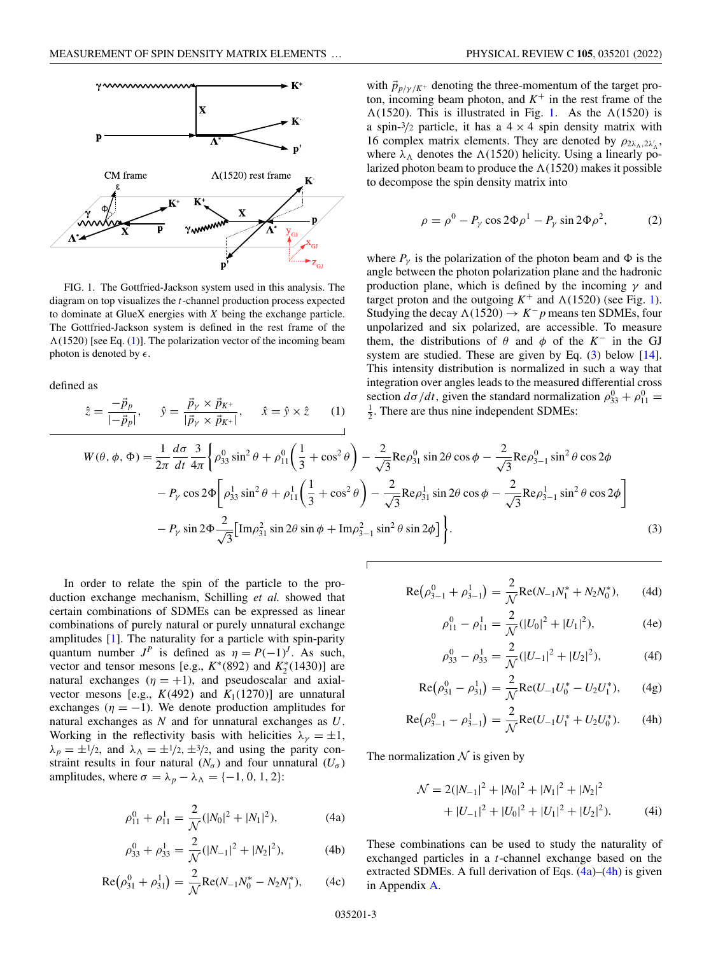<span id="page-4-0"></span>

FIG. 1. The Gottfried-Jackson system used in this analysis. The diagram on top visualizes the *t*-channel production process expected to dominate at GlueX energies with *X* being the exchange particle. The Gottfried-Jackson system is defined in the rest frame of the  $\Lambda(1520)$  [see Eq. (1)]. The polarization vector of the incoming beam photon is denoted by  $\epsilon$ .

defined as

$$
\hat{z} = \frac{-\vec{p}_p}{|-\vec{p}_p|}, \qquad \hat{y} = \frac{\vec{p}_\gamma \times \vec{p}_{K^+}}{|\vec{p}_\gamma \times \vec{p}_{K^+}|}, \qquad \hat{x} = \hat{y} \times \hat{z} \tag{1}
$$

with  $\vec{p}_{p/\gamma/K^+}$  denoting the three-momentum of the target proton, incoming beam photon, and  $K^+$  in the rest frame of the  $\Lambda(1520)$ . This is illustrated in Fig. 1. As the  $\Lambda(1520)$  is a spin- $\frac{3}{2}$  particle, it has a  $4 \times 4$  spin density matrix with 16 complex matrix elements. They are denoted by  $\rho_{2\lambda_{\Lambda},2\lambda'_{\Lambda}}$ , where  $\lambda_{\Lambda}$  denotes the  $\Lambda(1520)$  helicity. Using a linearly polarized photon beam to produce the  $\Lambda(1520)$  makes it possible to decompose the spin density matrix into

$$
\rho = \rho^0 - P_\gamma \cos 2\Phi \rho^1 - P_\gamma \sin 2\Phi \rho^2, \tag{2}
$$

where  $P_{\gamma}$  is the polarization of the photon beam and  $\Phi$  is the angle between the photon polarization plane and the hadronic production plane, which is defined by the incoming  $\gamma$  and target proton and the outgoing  $K^+$  and  $\Lambda(1520)$  (see Fig. 1). Studying the decay  $\Lambda(1520) \rightarrow K^- p$  means ten SDMEs, four unpolarized and six polarized, are accessible. To measure them, the distributions of  $\theta$  and  $\phi$  of the  $K^-$  in the GJ system are studied. These are given by Eq.  $(3)$  below  $[14]$ . This intensity distribution is normalized in such a way that integration over angles leads to the measured differential cross section  $d\sigma/dt$ , given the standard normalization  $\rho_{33}^0 + \rho_{11}^0 =$ <br><sup>1</sup> There are thus nine independent SDMEs:  $\frac{1}{2}$ . There are thus nine independent SDMEs:

$$
W(\theta, \phi, \Phi) = \frac{1}{2\pi} \frac{d\sigma}{dt} \frac{3}{4\pi} \left\{ \rho_{33}^0 \sin^2 \theta + \rho_{11}^0 \left( \frac{1}{3} + \cos^2 \theta \right) - \frac{2}{\sqrt{3}} \text{Re} \rho_{31}^0 \sin 2\theta \cos \phi - \frac{2}{\sqrt{3}} \text{Re} \rho_{3-1}^0 \sin^2 \theta \cos 2\phi \right. \\ - P_\gamma \cos 2\Phi \left[ \rho_{33}^1 \sin^2 \theta + \rho_{11}^1 \left( \frac{1}{3} + \cos^2 \theta \right) - \frac{2}{\sqrt{3}} \text{Re} \rho_{31}^1 \sin 2\theta \cos \phi - \frac{2}{\sqrt{3}} \text{Re} \rho_{3-1}^1 \sin^2 \theta \cos 2\phi \right] \\ - P_\gamma \sin 2\Phi \frac{2}{\sqrt{3}} \left[ \text{Im} \rho_{31}^2 \sin 2\theta \sin \phi + \text{Im} \rho_{3-1}^2 \sin^2 \theta \sin 2\phi \right] \right\}. \tag{3}
$$

In order to relate the spin of the particle to the production exchange mechanism, Schilling *et al.* showed that certain combinations of SDMEs can be expressed as linear combinations of purely natural or purely unnatural exchange amplitudes  $[1]$ . The naturality for a particle with spin-parity quantum number  $J^P$  is defined as  $\eta = P(-1)^J$ . As such, vector and tensor mesons [e.g.,  $K^*(892)$  and  $K^*_2(1430)$ ] are natural exchanges  $(\eta = +1)$ , and pseudoscalar and axialvector mesons [e.g.,  $K(492)$  and  $K_1(1270)$ ] are unnatural exchanges ( $\eta = -1$ ). We denote production amplitudes for natural exchanges as *N* and for unnatural exchanges as *U*. Working in the reflectivity basis with helicities  $\lambda_{\gamma} = \pm 1$ ,  $\lambda_p = \pm 1/2$ , and  $\lambda_\Lambda = \pm 1/2, \pm 3/2$ , and using the parity constraint results in four natural  $(N_{\sigma})$  and four unnatural  $(U_{\sigma})$ amplitudes, where  $\sigma = \lambda_p - \lambda_\Lambda = \{-1, 0, 1, 2\}$ :

$$
\rho_{11}^0 + \rho_{11}^1 = \frac{2}{\mathcal{N}} (|N_0|^2 + |N_1|^2), \tag{4a}
$$

$$
\rho_{33}^0 + \rho_{33}^1 = \frac{2}{\mathcal{N}} (|N_{-1}|^2 + |N_2|^2), \tag{4b}
$$

$$
Re(\rho_{31}^0 + \rho_{31}^1) = \frac{2}{\mathcal{N}} Re(N_{-1}N_0^* - N_2N_1^*), \qquad (4c)
$$

$$
Re(\rho_{3-1}^0 + \rho_{3-1}^1) = \frac{2}{\mathcal{N}} Re(N_{-1}N_1^* + N_2N_0^*), \qquad (4d)
$$

$$
\rho_{11}^0 - \rho_{11}^1 = \frac{2}{\mathcal{N}} (|U_0|^2 + |U_1|^2), \tag{4e}
$$

$$
\rho_{33}^0 - \rho_{33}^1 = \frac{2}{\mathcal{N}} (|U_{-1}|^2 + |U_2|^2), \tag{4f}
$$

$$
Re(\rho_{31}^0 - \rho_{31}^1) = \frac{2}{\mathcal{N}} Re(U_{-1}U_0^* - U_2U_1^*), \qquad (4g)
$$

$$
Re(\rho_{3-1}^0 - \rho_{3-1}^1) = \frac{2}{\mathcal{N}} Re(U_{-1}U_1^* + U_2U_0^*).
$$
 (4h)

The normalization  $\mathcal N$  is given by

$$
\mathcal{N} = 2(|N_{-1}|^2 + |N_0|^2 + |N_1|^2 + |N_2|^2
$$
  
+  $|U_{-1}|^2 + |U_0|^2 + |U_1|^2 + |U_2|^2$ ). (4i)

These combinations can be used to study the naturality of exchanged particles in a *t*-channel exchange based on the extracted SDMEs. A full derivation of Eqs.  $(4a)$ – $(4h)$  is given in Appendix [A.](#page-9-0)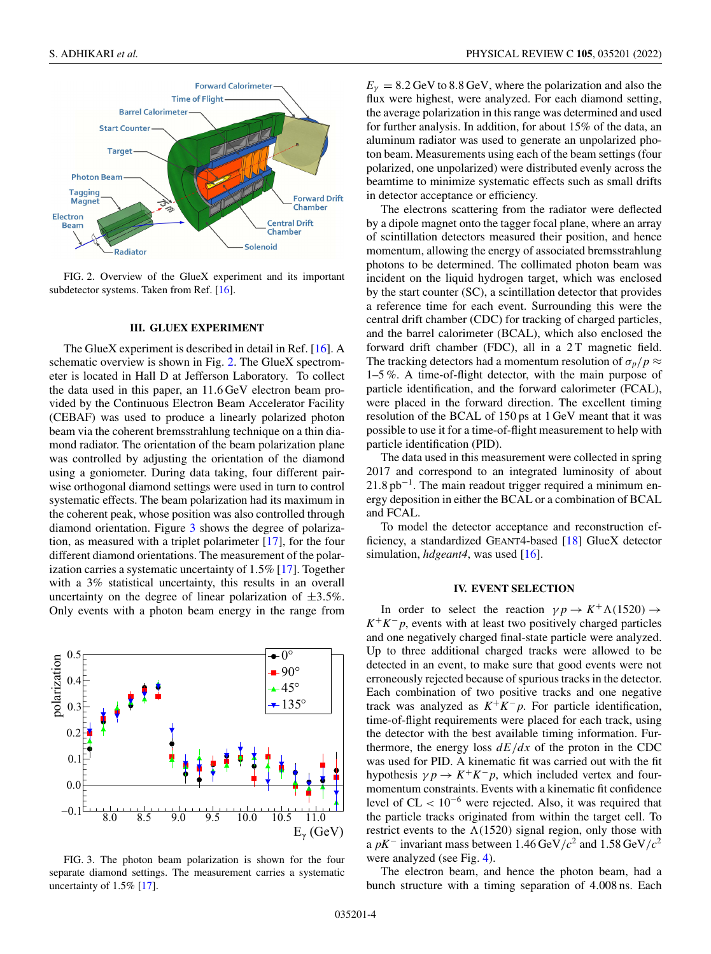<span id="page-5-0"></span>

FIG. 2. Overview of the GlueX experiment and its important subdetector systems. Taken from Ref. [\[16\]](#page-10-0).

#### **III. GLUEX EXPERIMENT**

The GlueX experiment is described in detail in Ref. [\[16\]](#page-10-0). A schematic overview is shown in Fig. 2. The GlueX spectrometer is located in Hall D at Jefferson Laboratory. To collect the data used in this paper, an 11.6 GeV electron beam provided by the Continuous Electron Beam Accelerator Facility (CEBAF) was used to produce a linearly polarized photon beam via the coherent bremsstrahlung technique on a thin diamond radiator. The orientation of the beam polarization plane was controlled by adjusting the orientation of the diamond using a goniometer. During data taking, four different pairwise orthogonal diamond settings were used in turn to control systematic effects. The beam polarization had its maximum in the coherent peak, whose position was also controlled through diamond orientation. Figure 3 shows the degree of polarization, as measured with a triplet polarimeter [\[17\]](#page-10-0), for the four different diamond orientations. The measurement of the polarization carries a systematic uncertainty of 1.5% [\[17\]](#page-10-0). Together with a 3% statistical uncertainty, this results in an overall uncertainty on the degree of linear polarization of  $\pm 3.5\%$ . Only events with a photon beam energy in the range from



FIG. 3. The photon beam polarization is shown for the four separate diamond settings. The measurement carries a systematic uncertainty of 1.5% [\[17\]](#page-10-0).

 $E_{\gamma} = 8.2$  GeV to 8.8 GeV, where the polarization and also the flux were highest, were analyzed. For each diamond setting, the average polarization in this range was determined and used for further analysis. In addition, for about 15% of the data, an aluminum radiator was used to generate an unpolarized photon beam. Measurements using each of the beam settings (four polarized, one unpolarized) were distributed evenly across the beamtime to minimize systematic effects such as small drifts in detector acceptance or efficiency.

The electrons scattering from the radiator were deflected by a dipole magnet onto the tagger focal plane, where an array of scintillation detectors measured their position, and hence momentum, allowing the energy of associated bremsstrahlung photons to be determined. The collimated photon beam was incident on the liquid hydrogen target, which was enclosed by the start counter (SC), a scintillation detector that provides a reference time for each event. Surrounding this were the central drift chamber (CDC) for tracking of charged particles, and the barrel calorimeter (BCAL), which also enclosed the forward drift chamber (FDC), all in a 2T magnetic field. The tracking detectors had a momentum resolution of  $\sigma_p$ /*p*  $\approx$ 1–5 %. A time-of-flight detector, with the main purpose of particle identification, and the forward calorimeter (FCAL), were placed in the forward direction. The excellent timing resolution of the BCAL of 150 ps at 1 GeV meant that it was possible to use it for a time-of-flight measurement to help with particle identification (PID).

The data used in this measurement were collected in spring 2017 and correspond to an integrated luminosity of about  $21.8 \text{ pb}^{-1}$ . The main readout trigger required a minimum energy deposition in either the BCAL or a combination of BCAL and FCAL.

To model the detector acceptance and reconstruction efficiency, a standardized GEANT4-based [\[18\]](#page-10-0) GlueX detector simulation, *hdgeant4*, was used [\[16\]](#page-10-0).

#### **IV. EVENT SELECTION**

In order to select the reaction  $\gamma p \to K^+ \Lambda(1520) \to$  $K^+K^-p$ , events with at least two positively charged particles and one negatively charged final-state particle were analyzed. Up to three additional charged tracks were allowed to be detected in an event, to make sure that good events were not erroneously rejected because of spurious tracks in the detector. Each combination of two positive tracks and one negative track was analyzed as  $K^+K^-p$ . For particle identification, time-of-flight requirements were placed for each track, using the detector with the best available timing information. Furthermore, the energy loss  $dE/dx$  of the proton in the CDC was used for PID. A kinematic fit was carried out with the fit hypothesis  $\gamma p \rightarrow K^+ K^- p$ , which included vertex and fourmomentum constraints. Events with a kinematic fit confidence level of  $CL < 10^{-6}$  were rejected. Also, it was required that the particle tracks originated from within the target cell. To restrict events to the  $\Lambda(1520)$  signal region, only those with a  $pK^-$  invariant mass between 1.46 GeV/ $c^2$  and 1.58 GeV/ $c^2$ were analyzed (see Fig. [4\)](#page-6-0).

The electron beam, and hence the photon beam, had a bunch structure with a timing separation of 4.008 ns. Each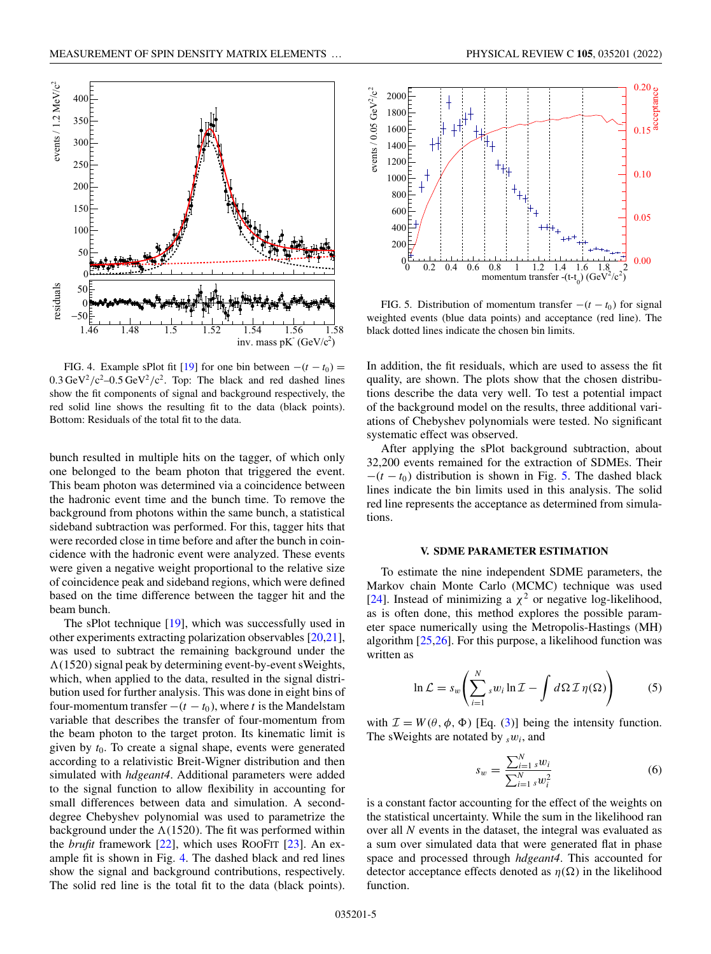<span id="page-6-0"></span>

FIG. 4. Example sPlot fit [\[19\]](#page-10-0) for one bin between  $-(t - t_0) =$  $0.3 \,\text{GeV}^2/\text{c}^2 - 0.5 \,\text{GeV}^2/\text{c}^2$ . Top: The black and red dashed lines show the fit components of signal and background respectively, the red solid line shows the resulting fit to the data (black points). Bottom: Residuals of the total fit to the data.

bunch resulted in multiple hits on the tagger, of which only one belonged to the beam photon that triggered the event. This beam photon was determined via a coincidence between the hadronic event time and the bunch time. To remove the background from photons within the same bunch, a statistical sideband subtraction was performed. For this, tagger hits that were recorded close in time before and after the bunch in coincidence with the hadronic event were analyzed. These events were given a negative weight proportional to the relative size of coincidence peak and sideband regions, which were defined based on the time difference between the tagger hit and the beam bunch.

The sPlot technique  $[19]$ , which was successfully used in other experiments extracting polarization observables [\[20,21\]](#page-10-0), was used to subtract the remaining background under the  $\Lambda(1520)$  signal peak by determining event-by-event sWeights, which, when applied to the data, resulted in the signal distribution used for further analysis. This was done in eight bins of four-momentum transfer  $-(t - t_0)$ , where *t* is the Mandelstam variable that describes the transfer of four-momentum from the beam photon to the target proton. Its kinematic limit is given by *t*0. To create a signal shape, events were generated according to a relativistic Breit-Wigner distribution and then simulated with *hdgeant4*. Additional parameters were added to the signal function to allow flexibility in accounting for small differences between data and simulation. A seconddegree Chebyshev polynomial was used to parametrize the background under the  $\Lambda(1520)$ . The fit was performed within the *brufit* framework [\[22\]](#page-10-0), which uses ROOFIT [\[23\]](#page-10-0). An example fit is shown in Fig. 4. The dashed black and red lines show the signal and background contributions, respectively. The solid red line is the total fit to the data (black points).



FIG. 5. Distribution of momentum transfer  $-(t - t_0)$  for signal weighted events (blue data points) and acceptance (red line). The black dotted lines indicate the chosen bin limits.

In addition, the fit residuals, which are used to assess the fit quality, are shown. The plots show that the chosen distributions describe the data very well. To test a potential impact of the background model on the results, three additional variations of Chebyshev polynomials were tested. No significant systematic effect was observed.

After applying the sPlot background subtraction, about 32,200 events remained for the extraction of SDMEs. Their  $-(t - t_0)$  distribution is shown in Fig. 5. The dashed black lines indicate the bin limits used in this analysis. The solid red line represents the acceptance as determined from simulations.

#### **V. SDME PARAMETER ESTIMATION**

To estimate the nine independent SDME parameters, the Markov chain Monte Carlo (MCMC) technique was used [\[24\]](#page-11-0). Instead of minimizing a  $\chi^2$  or negative log-likelihood, as is often done, this method explores the possible parameter space numerically using the Metropolis-Hastings (MH) algorithm [\[25,26\]](#page-11-0). For this purpose, a likelihood function was written as

$$
\ln \mathcal{L} = s_w \left( \sum_{i=1}^N s w_i \ln \mathcal{I} - \int d\Omega \mathcal{I} \eta(\Omega) \right) \tag{5}
$$

with  $\mathcal{I} = W(\theta, \phi, \Phi)$  [Eq. [\(3\)](#page-4-0)] being the intensity function. The sWeights are notated by *<sup>s</sup>*w*i*, and

$$
s_w = \frac{\sum_{i=1}^{N} s w_i}{\sum_{i=1}^{N} s w_i^2}
$$
 (6)

is a constant factor accounting for the effect of the weights on the statistical uncertainty. While the sum in the likelihood ran over all *N* events in the dataset, the integral was evaluated as a sum over simulated data that were generated flat in phase space and processed through *hdgeant4*. This accounted for detector acceptance effects denoted as  $\eta(\Omega)$  in the likelihood function.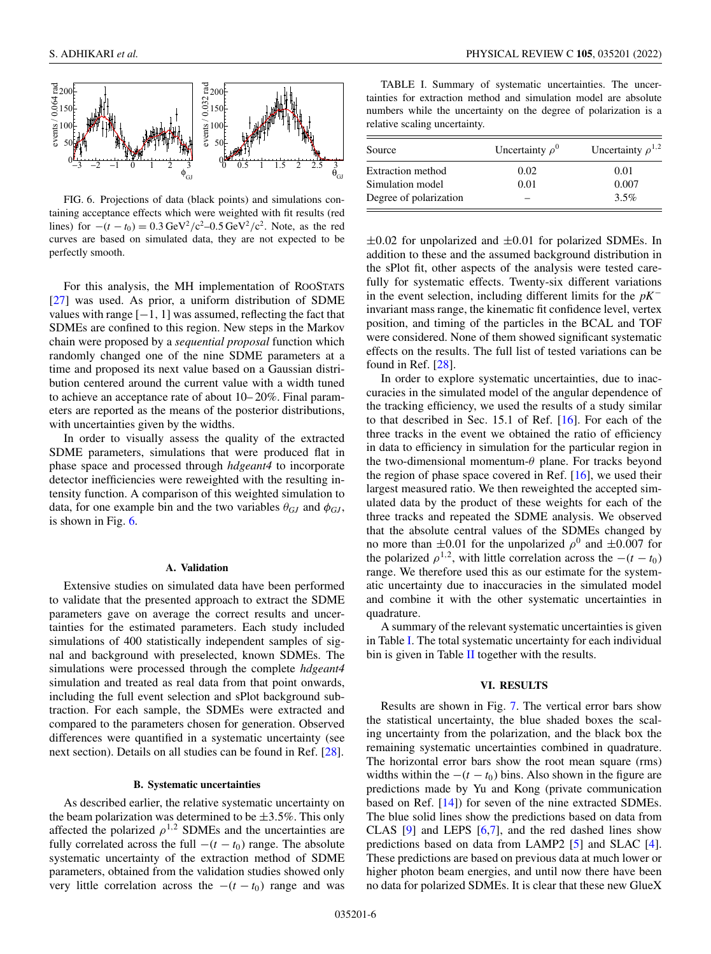<span id="page-7-0"></span>

FIG. 6. Projections of data (black points) and simulations containing acceptance effects which were weighted with fit results (red lines) for  $-(t - t_0) = 0.3 \text{ GeV}^2/\text{c}^2 - 0.5 \text{ GeV}^2/\text{c}^2$ . Note, as the red curves are based on simulated data, they are not expected to be perfectly smooth.

For this analysis, the MH implementation of ROOSTATS [\[27\]](#page-11-0) was used. As prior, a uniform distribution of SDME values with range  $[-1, 1]$  was assumed, reflecting the fact that SDMEs are confined to this region. New steps in the Markov chain were proposed by a *sequential proposal* function which randomly changed one of the nine SDME parameters at a time and proposed its next value based on a Gaussian distribution centered around the current value with a width tuned to achieve an acceptance rate of about 10– 20%. Final parameters are reported as the means of the posterior distributions, with uncertainties given by the widths.

In order to visually assess the quality of the extracted SDME parameters, simulations that were produced flat in phase space and processed through *hdgeant4* to incorporate detector inefficiencies were reweighted with the resulting intensity function. A comparison of this weighted simulation to data, for one example bin and the two variables  $\theta_{GJ}$  and  $\phi_{GJ}$ , is shown in Fig. 6.

#### **A. Validation**

Extensive studies on simulated data have been performed to validate that the presented approach to extract the SDME parameters gave on average the correct results and uncertainties for the estimated parameters. Each study included simulations of 400 statistically independent samples of signal and background with preselected, known SDMEs. The simulations were processed through the complete *hdgeant4* simulation and treated as real data from that point onwards, including the full event selection and sPlot background subtraction. For each sample, the SDMEs were extracted and compared to the parameters chosen for generation. Observed differences were quantified in a systematic uncertainty (see next section). Details on all studies can be found in Ref. [\[28\]](#page-11-0).

#### **B. Systematic uncertainties**

As described earlier, the relative systematic uncertainty on the beam polarization was determined to be  $\pm 3.5\%$ . This only affected the polarized  $\rho^{1,2}$  SDMEs and the uncertainties are fully correlated across the full  $-(t - t_0)$  range. The absolute systematic uncertainty of the extraction method of SDME parameters, obtained from the validation studies showed only very little correlation across the  $-(t - t_0)$  range and was

TABLE I. Summary of systematic uncertainties. The uncertainties for extraction method and simulation model are absolute numbers while the uncertainty on the degree of polarization is a relative scaling uncertainty.

| Source                 | Uncertainty $\rho^0$ | Uncertainty $\rho^{1,2}$ |  |  |
|------------------------|----------------------|--------------------------|--|--|
| Extraction method      | 0.02                 | 0.01                     |  |  |
| Simulation model       | 0.01                 | 0.007                    |  |  |
| Degree of polarization |                      | 3.5%                     |  |  |

 $\pm 0.02$  for unpolarized and  $\pm 0.01$  for polarized SDMEs. In addition to these and the assumed background distribution in the sPlot fit, other aspects of the analysis were tested carefully for systematic effects. Twenty-six different variations in the event selection, including different limits for the *pK*<sup>−</sup> invariant mass range, the kinematic fit confidence level, vertex position, and timing of the particles in the BCAL and TOF were considered. None of them showed significant systematic effects on the results. The full list of tested variations can be found in Ref. [\[28\]](#page-11-0).

In order to explore systematic uncertainties, due to inaccuracies in the simulated model of the angular dependence of the tracking efficiency, we used the results of a study similar to that described in Sec. 15.1 of Ref. [\[16\]](#page-10-0). For each of the three tracks in the event we obtained the ratio of efficiency in data to efficiency in simulation for the particular region in the two-dimensional momentum- $\theta$  plane. For tracks beyond the region of phase space covered in Ref.  $[16]$ , we used their largest measured ratio. We then reweighted the accepted simulated data by the product of these weights for each of the three tracks and repeated the SDME analysis. We observed that the absolute central values of the SDMEs changed by no more than  $\pm 0.01$  for the unpolarized  $\rho^0$  and  $\pm 0.007$  for the polarized  $\rho^{1,2}$ , with little correlation across the  $-(t - t_0)$ range. We therefore used this as our estimate for the systematic uncertainty due to inaccuracies in the simulated model and combine it with the other systematic uncertainties in quadrature.

A summary of the relevant systematic uncertainties is given in Table I. The total systematic uncertainty for each individual bin is given in Table  $II$  together with the results.

#### **VI. RESULTS**

Results are shown in Fig. [7.](#page-8-0) The vertical error bars show the statistical uncertainty, the blue shaded boxes the scaling uncertainty from the polarization, and the black box the remaining systematic uncertainties combined in quadrature. The horizontal error bars show the root mean square (rms) widths within the  $-(t - t_0)$  bins. Also shown in the figure are predictions made by Yu and Kong (private communication based on Ref. [\[14\]](#page-10-0)) for seven of the nine extracted SDMEs. The blue solid lines show the predictions based on data from CLAS  $[9]$  and LEPS  $[6,7]$ , and the red dashed lines show predictions based on data from LAMP2 [\[5\]](#page-10-0) and SLAC [\[4\]](#page-10-0). These predictions are based on previous data at much lower or higher photon beam energies, and until now there have been no data for polarized SDMEs. It is clear that these new GlueX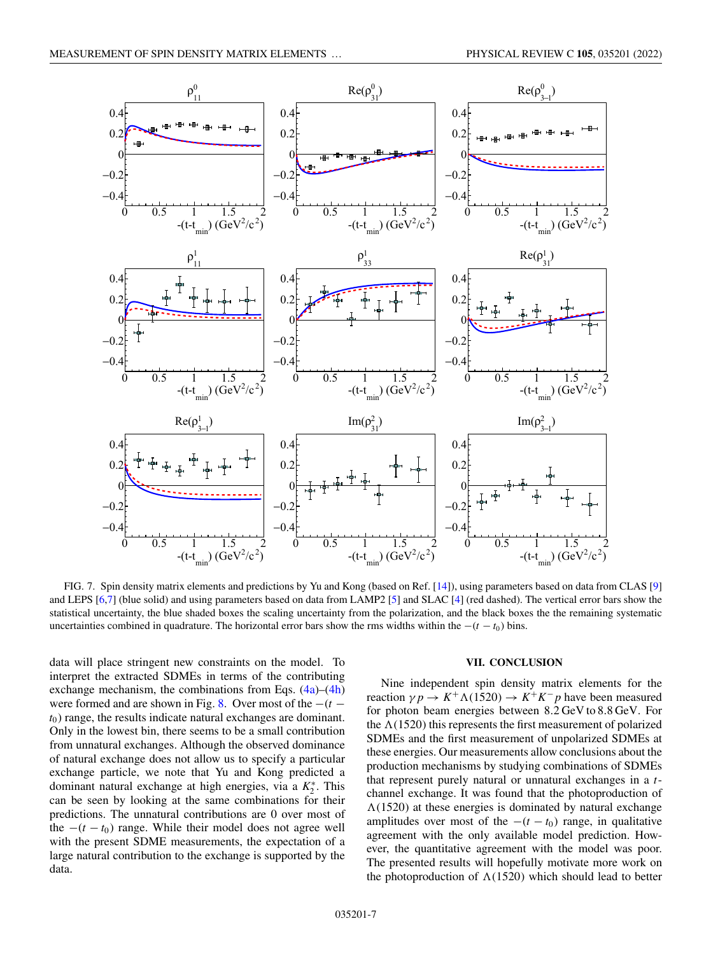<span id="page-8-0"></span>

FIG. 7. Spin density matrix elements and predictions by Yu and Kong (based on Ref. [\[14\]](#page-10-0)), using parameters based on data from CLAS [\[9\]](#page-10-0) and LEPS [\[6,7\]](#page-10-0) (blue solid) and using parameters based on data from LAMP2 [\[5\]](#page-10-0) and SLAC [\[4\]](#page-10-0) (red dashed). The vertical error bars show the statistical uncertainty, the blue shaded boxes the scaling uncertainty from the polarization, and the black boxes the the remaining systematic uncertainties combined in quadrature. The horizontal error bars show the rms widths within the  $-(t - t_0)$  bins.

data will place stringent new constraints on the model. To interpret the extracted SDMEs in terms of the contributing exchange mechanism, the combinations from Eqs.  $(4a)$ – $(4h)$ were formed and are shown in Fig. [8.](#page-9-0) Over most of the −(*t* −  $t<sub>0</sub>$ ) range, the results indicate natural exchanges are dominant. Only in the lowest bin, there seems to be a small contribution from unnatural exchanges. Although the observed dominance of natural exchange does not allow us to specify a particular exchange particle, we note that Yu and Kong predicted a dominant natural exchange at high energies, via a  $K_2^*$ . This can be seen by looking at the same combinations for their predictions. The unnatural contributions are 0 over most of the  $-(t - t_0)$  range. While their model does not agree well with the present SDME measurements, the expectation of a large natural contribution to the exchange is supported by the data.

#### **VII. CONCLUSION**

Nine independent spin density matrix elements for the reaction  $\gamma p \rightarrow K^+ \Lambda(1520) \rightarrow K^+ K^- p$  have been measured for photon beam energies between 8.2 GeV to 8.8 GeV. For the  $\Lambda(1520)$  this represents the first measurement of polarized SDMEs and the first measurement of unpolarized SDMEs at these energies. Our measurements allow conclusions about the production mechanisms by studying combinations of SDMEs that represent purely natural or unnatural exchanges in a *t*channel exchange. It was found that the photoproduction of  $\Lambda(1520)$  at these energies is dominated by natural exchange amplitudes over most of the  $-(t - t_0)$  range, in qualitative agreement with the only available model prediction. However, the quantitative agreement with the model was poor. The presented results will hopefully motivate more work on the photoproduction of  $\Lambda(1520)$  which should lead to better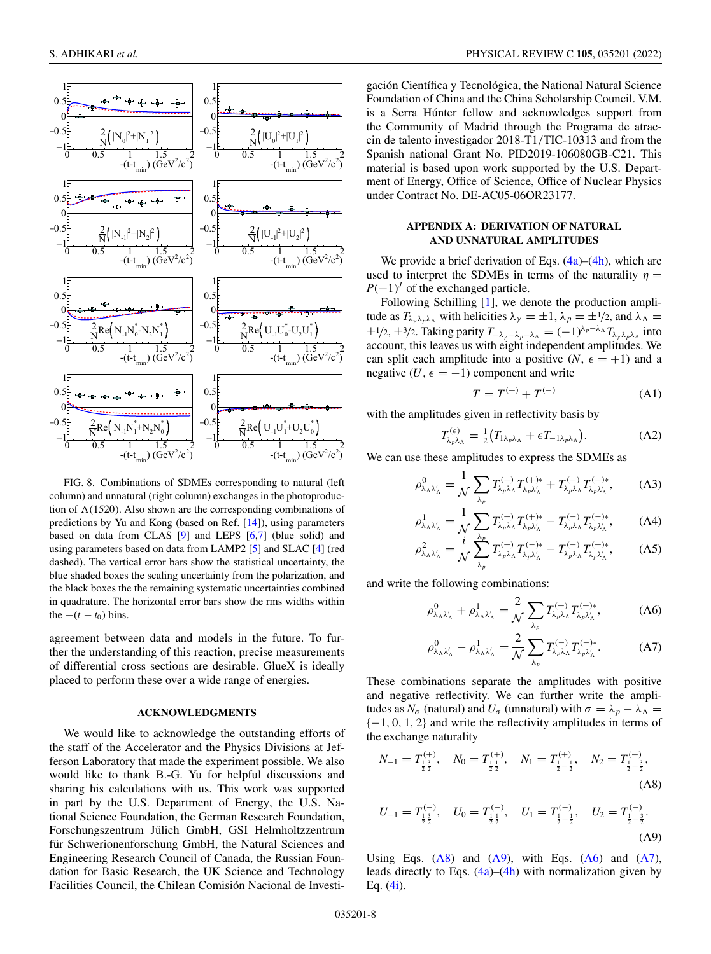<span id="page-9-0"></span>

FIG. 8. Combinations of SDMEs corresponding to natural (left column) and unnatural (right column) exchanges in the photoproduction of  $\Lambda(1520)$ . Also shown are the corresponding combinations of predictions by Yu and Kong (based on Ref. [\[14\]](#page-10-0)), using parameters based on data from CLAS [\[9\]](#page-10-0) and LEPS [\[6,7\]](#page-10-0) (blue solid) and using parameters based on data from LAMP2 [\[5\]](#page-10-0) and SLAC [\[4\]](#page-10-0) (red dashed). The vertical error bars show the statistical uncertainty, the blue shaded boxes the scaling uncertainty from the polarization, and the black boxes the the remaining systematic uncertainties combined in quadrature. The horizontal error bars show the rms widths within the  $-(t - t_0)$  bins.

agreement between data and models in the future. To further the understanding of this reaction, precise measurements of differential cross sections are desirable. GlueX is ideally placed to perform these over a wide range of energies.

#### **ACKNOWLEDGMENTS**

We would like to acknowledge the outstanding efforts of the staff of the Accelerator and the Physics Divisions at Jefferson Laboratory that made the experiment possible. We also would like to thank B.-G. Yu for helpful discussions and sharing his calculations with us. This work was supported in part by the U.S. Department of Energy, the U.S. National Science Foundation, the German Research Foundation, Forschungszentrum Jülich GmbH, GSI Helmholtzzentrum für Schwerionenforschung GmbH, the Natural Sciences and Engineering Research Council of Canada, the Russian Foundation for Basic Research, the UK Science and Technology Facilities Council, the Chilean Comisión Nacional de Investi-

gación Científica y Tecnológica, the National Natural Science Foundation of China and the China Scholarship Council. V.M. is a Serra Húnter fellow and acknowledges support from the Community of Madrid through the Programa de atraccin de talento investigador 2018-T1/TIC-10313 and from the Spanish national Grant No. PID2019-106080GB-C21. This material is based upon work supported by the U.S. Department of Energy, Office of Science, Office of Nuclear Physics under Contract No. DE-AC05-06OR23177.

#### **APPENDIX A: DERIVATION OF NATURAL AND UNNATURAL AMPLITUDES**

We provide a brief derivation of Eqs.  $(4a)$ – $(4h)$ , which are used to interpret the SDMEs in terms of the naturality  $\eta =$  $P(-1)$ <sup>*J*</sup> of the exchanged particle.

Following Schilling [\[1\]](#page-10-0), we denote the production amplitude as  $T_{\lambda_{\gamma}\lambda_{p}\lambda_{\Lambda}}$  with helicities  $\lambda_{\gamma} = \pm 1$ ,  $\lambda_{p} = \pm 1/2$ , and  $\lambda_{\Lambda} =$  $\pm 1/2$ ,  $\pm 3/2$ . Taking parity  $T_{-\lambda_y - \lambda_p - \lambda_\Lambda} = (-1)^{\lambda_p - \lambda_\Lambda} T_{\lambda_y \lambda_p \lambda_\Lambda}$  into account, this leaves us with eight independent amplitudes. We can split each amplitude into a positive  $(N, \epsilon = +1)$  and a negative  $(U, \epsilon = -1)$  component and write

$$
T = T^{(+)} + T^{(-)}
$$
 (A1)

with the amplitudes given in reflectivity basis by

$$
T_{\lambda_p \lambda_\Lambda}^{(\epsilon)} = \frac{1}{2} \big( T_{1\lambda_p \lambda_\Lambda} + \epsilon T_{-1\lambda_p \lambda_\Lambda} \big). \tag{A2}
$$

We can use these amplitudes to express the SDMEs as

$$
\rho_{\lambda_{\Lambda}\lambda'_{\Lambda}}^{0} = \frac{1}{\mathcal{N}} \sum_{\lambda_{p}} T_{\lambda_{p}\lambda_{\Lambda}}^{(+)} T_{\lambda_{p}\lambda'_{\Lambda}}^{(+)*} + T_{\lambda_{p}\lambda_{\Lambda}}^{(-)} T_{\lambda_{p}\lambda'_{\Lambda}}^{(-)*}, \tag{A3}
$$

$$
\rho_{\lambda_{\Lambda}\lambda'_{\Lambda}}^1 = \frac{1}{\mathcal{N}} \sum_{\lambda_p} T_{\lambda_p \lambda_{\Lambda}}^{(+)} T_{\lambda_p \lambda'_{\Lambda}}^{(+)*} - T_{\lambda_p \lambda_{\Lambda}}^{(-)} T_{\lambda_p \lambda'_{\Lambda}}^{(-)*}, \tag{A4}
$$

$$
\rho_{\lambda_{\Lambda}\lambda'_{\Lambda}}^2 = \frac{i}{\mathcal{N}} \sum_{\lambda_p}^{\lambda_p} T_{\lambda_p\lambda_{\Lambda}}^{(+)} T_{\lambda_p\lambda'_{\Lambda}}^{(-)*} - T_{\lambda_p\lambda_{\Lambda}}^{(-)} T_{\lambda_p\lambda'_{\Lambda}}^{(+)*}, \tag{A5}
$$

and write the following combinations:

$$
\rho_{\lambda_{\Lambda}\lambda'_{\Lambda}}^0 + \rho_{\lambda_{\Lambda}\lambda'_{\Lambda}}^1 = \frac{2}{\mathcal{N}} \sum_{\lambda_p} T_{\lambda_p\lambda_{\Lambda}}^{(+)} T_{\lambda_p\lambda'_{\Lambda}}^{(+)*}, \tag{A6}
$$

$$
\rho_{\lambda_{\Lambda}\lambda'_{\Lambda}}^0 - \rho_{\lambda_{\Lambda}\lambda'_{\Lambda}}^1 = \frac{2}{\mathcal{N}} \sum_{\lambda_p} T_{\lambda_p\lambda_{\Lambda}}^{(-)} T_{\lambda_p\lambda'_{\Lambda}}^{(-)*}.
$$
 (A7)

These combinations separate the amplitudes with positive and negative reflectivity. We can further write the amplitudes as  $N_{\sigma}$  (natural) and  $U_{\sigma}$  (unnatural) with  $\sigma = \lambda_p - \lambda_{\Lambda}$  ${-1, 0, 1, 2}$  and write the reflectivity amplitudes in terms of the exchange naturality

$$
N_{-1} = T_{\frac{1}{2}\frac{3}{2}}^{(+)}, \quad N_0 = T_{\frac{1}{2}\frac{1}{2}}^{(+)}, \quad N_1 = T_{\frac{1}{2}-\frac{1}{2}}^{(+)}, \quad N_2 = T_{\frac{1}{2}-\frac{3}{2}}^{(+)},
$$
\n(A8)

$$
U_{-1} = T_{\frac{1}{2}\frac{3}{2}}^{(-)}, \quad U_0 = T_{\frac{1}{2}\frac{1}{2}}^{(-)}, \quad U_1 = T_{\frac{1}{2}-\frac{1}{2}}^{(-)}, \quad U_2 = T_{\frac{1}{2}-\frac{3}{2}}^{(-)}.
$$
\n(A9)

Using Eqs.  $(A8)$  and  $(A9)$ , with Eqs.  $(A6)$  and  $(A7)$ , leads directly to Eqs.  $(4a)$ – $(4h)$  with normalization given by Eq.  $(4i)$ .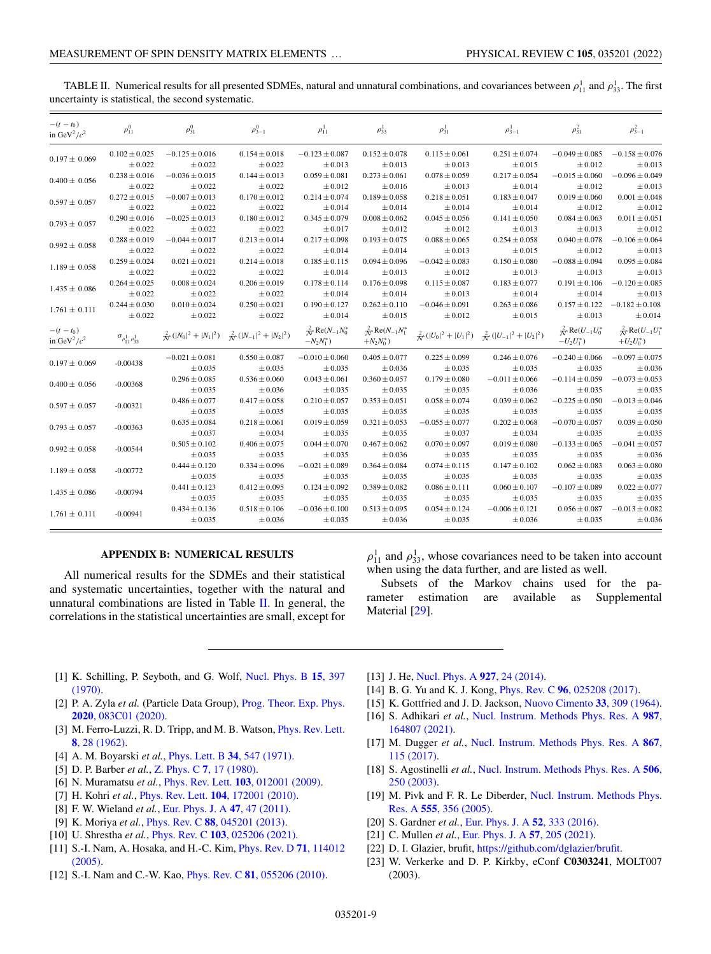| $-(t - t_0)$<br>in GeV <sup>2</sup> / $c^2$ | $\rho_{11}^0$                      | $\rho_{31}^0$      | $\rho_{3-1}^0$                                                 | $\rho_{11}^1$                                    | $\rho_{33}^1$                                    | $\rho_{31}^1$      | $\rho_{3-1}^1$                                                 | $\rho_{31}^2$                                    | $\rho_{3-1}^2$                                       |
|---------------------------------------------|------------------------------------|--------------------|----------------------------------------------------------------|--------------------------------------------------|--------------------------------------------------|--------------------|----------------------------------------------------------------|--------------------------------------------------|------------------------------------------------------|
| $0.197 \pm 0.069$                           | $0.102 \pm 0.025$                  | $-0.125 \pm 0.016$ | $0.154 \pm 0.018$                                              | $-0.123 \pm 0.087$                               | $0.152 \pm 0.078$                                | $0.115 \pm 0.061$  | $0.251 \pm 0.074$                                              | $-0.049 \pm 0.085$                               | $-0.158 \pm 0.076$                                   |
|                                             | $\pm 0.022$                        | $\pm 0.022$        | $\pm 0.022$                                                    | $\pm 0.013$                                      | $\pm 0.013$                                      | $\pm 0.013$        | ± 0.015                                                        | $\pm 0.012$                                      | $\pm 0.013$                                          |
| $0.400 \pm 0.056$                           | $0.238 \pm 0.016$                  | $-0.036 \pm 0.015$ | $0.144 \pm 0.013$                                              | $0.059 \pm 0.081$                                | $0.273 \pm 0.061$                                | $0.078 \pm 0.059$  | $0.217 \pm 0.054$                                              | $-0.015 \pm 0.060$                               | $-0.096 \pm 0.049$                                   |
|                                             | ± 0.022                            | $\pm 0.022$        | $\pm 0.022$                                                    | $\pm 0.012$                                      | $\pm 0.016$                                      | $\pm 0.013$        | $\pm 0.014$                                                    | $\pm 0.012$                                      | $\pm 0.013$                                          |
| $0.597 \pm 0.057$                           | $0.272 \pm 0.015$                  | $-0.007 \pm 0.013$ | $0.170 \pm 0.012$                                              | $0.214 \pm 0.074$                                | $0.189 \pm 0.058$                                | $0.218 \pm 0.051$  | $0.183 \pm 0.047$                                              | $0.019 \pm 0.060$                                | $0.001 \pm 0.048$                                    |
|                                             | $\pm 0.022$                        | $\pm 0.022$        | $\pm 0.022$                                                    | ± 0.014                                          | $\pm 0.014$                                      | $\pm 0.014$        | $\pm 0.014$                                                    | $\pm 0.012$                                      | ± 0.012                                              |
| $0.793 \pm 0.057$                           | $0.290 \pm 0.016$                  | $-0.025 \pm 0.013$ | $0.180 \pm 0.012$                                              | $0.345 \pm 0.079$                                | $0.008 \pm 0.062$                                | $0.045 \pm 0.056$  | $0.141 \pm 0.050$                                              | $0.084 \pm 0.063$                                | $0.011 \pm 0.051$                                    |
|                                             | $\pm 0.022$                        | $\pm 0.022$        | $\pm 0.022$                                                    | ± 0.017                                          | $\pm 0.012$                                      | $\pm 0.012$        | $\pm 0.013$                                                    | $\pm 0.013$                                      | ± 0.012                                              |
| $0.992 \pm 0.058$                           | $0.288 \pm 0.019$                  | $-0.044 \pm 0.017$ | $0.213 \pm 0.014$                                              | $0.217 \pm 0.098$                                | $0.193 \pm 0.075$                                | $0.088 \pm 0.065$  | $0.254 \pm 0.058$                                              | $0.040 \pm 0.078$                                | $-0.106 \pm 0.064$                                   |
|                                             | ± 0.022                            | $\pm 0.022$        | ± 0.022                                                        | $\pm 0.014$                                      | $\pm 0.014$                                      | $\pm 0.013$        | ± 0.015                                                        | $\pm 0.012$                                      | ± 0.013                                              |
| $1.189 \pm 0.058$                           | $0.259 \pm 0.024$                  | $0.021 \pm 0.021$  | $0.214 \pm 0.018$                                              | $0.185 \pm 0.115$                                | $0.094 \pm 0.096$                                | $-0.042 \pm 0.083$ | $0.150 \pm 0.080$                                              | $-0.088 \pm 0.094$                               | $0.095 \pm 0.084$                                    |
|                                             | ± 0.022                            | $\pm 0.022$        | $\pm 0.022$                                                    | ± 0.014                                          | $\pm 0.013$                                      | $\pm 0.012$        | $\pm 0.013$                                                    | $\pm 0.013$                                      | ± 0.013                                              |
| $1.435 \pm 0.086$                           | $0.264 \pm 0.025$                  | $0.008 \pm 0.024$  | $0.206 \pm 0.019$                                              | $0.178 \pm 0.114$                                | $0.176 \pm 0.098$                                | $0.115 \pm 0.087$  | $0.183 \pm 0.077$                                              | $0.191 \pm 0.106$                                | $-0.120 \pm 0.085$                                   |
|                                             | ± 0.022                            | ± 0.022            | ± 0.022                                                        | $\pm 0.014$                                      | $\pm 0.014$                                      | $\pm 0.013$        | $\pm 0.014$                                                    | $\pm 0.014$                                      | ± 0.013                                              |
| $1.761 \pm 0.111$                           | $0.244 \pm 0.030$                  | $0.010 \pm 0.024$  | $0.250 \pm 0.021$                                              | $0.190 \pm 0.127$                                | $0.262 \pm 0.110$                                | $-0.046 \pm 0.091$ | $0.263 \pm 0.086$                                              | $0.157 \pm 0.122$                                | $-0.182 \pm 0.108$                                   |
|                                             | ± 0.022                            | $\pm 0.022$        | $\pm 0.022$                                                    | $\pm 0.014$                                      | $\pm 0.015$                                      | $\pm 0.012$        | $\pm 0.015$                                                    | $\pm 0.013$                                      | $\pm 0.014$                                          |
| $-(t - t_0)$<br>in GeV <sup>2</sup> / $c^2$ | $\sigma_{\rho_{11}^1 \rho_{33}^1}$ |                    | $\frac{2}{N}( N_0 ^2+ N_1 ^2)-\frac{2}{N}( N_{-1} ^2+ N_2 ^2)$ | $\frac{2}{N}$ Re( $N_{-1}N_0^*$<br>$-N_2N_1^*$ ) | $\frac{2}{N}$ Re( $N_{-1}N_1^*$<br>$+N_2N_0^*$ ) |                    | $\frac{2}{N}( U_0 ^2+ U_1 ^2)-\frac{2}{N}( U_{-1} ^2+ U_2 ^2)$ | $\frac{2}{N}$ Re( $U_{-1}U_0^*$<br>$-U_2U_1^*$ ) | $\frac{2}{N}$ Re( $U_{-1}U_{1}^{*}$<br>$+U_2U_0^*$ ) |
| $0.197 \pm 0.069$                           | $-0.00438$                         | $-0.021 \pm 0.081$ | $0.550 \pm 0.087$                                              | $-0.010 \pm 0.060$                               | $0.405 \pm 0.077$                                | $0.225 \pm 0.099$  | $0.246 \pm 0.076$                                              | $-0.240 \pm 0.066$                               | $-0.097 \pm 0.075$                                   |
|                                             |                                    | $\pm 0.035$        | $\pm 0.035$                                                    | ± 0.035                                          | $\pm 0.036$                                      | $\pm 0.035$        | $\pm 0.035$                                                    | $\pm 0.035$                                      | ± 0.036                                              |
| $0.400 \pm 0.056$                           | $-0.00368$                         | $0.296 \pm 0.085$  | $0.536 \pm 0.060$                                              | $0.043 \pm 0.061$                                | $0.360 \pm 0.057$                                | $0.179 \pm 0.080$  | $-0.011 \pm 0.066$                                             | $-0.114 \pm 0.059$                               | $-0.073 \pm 0.053$                                   |
|                                             |                                    | ± 0.035            | $\pm 0.036$                                                    | $\pm 0.035$                                      | $\pm 0.035$                                      | $\pm 0.035$        | $\pm 0.036$                                                    | $\pm 0.035$                                      | ± 0.035                                              |
| $0.597 \pm 0.057$                           | $-0.00321$                         | $0.486 \pm 0.077$  | $0.417 \pm 0.058$                                              | $0.210 \pm 0.057$                                | $0.353 \pm 0.051$                                | $0.058 \pm 0.074$  | $0.039 \pm 0.062$                                              | $-0.225 \pm 0.050$                               | $-0.013 \pm 0.046$                                   |
|                                             |                                    | $\pm 0.035$        | $\pm 0.035$                                                    | ± 0.035                                          | $\pm 0.035$                                      | $\pm 0.035$        | ± 0.035                                                        | $\pm 0.035$                                      | $\pm 0.035$                                          |
| $0.793 \pm 0.057$                           | $-0.00363$                         | $0.635 \pm 0.084$  | $0.218 \pm 0.061$                                              | $0.019 \pm 0.059$                                | $0.321 \pm 0.053$                                | $-0.055 \pm 0.077$ | $0.202 \pm 0.068$                                              | $-0.070 \pm 0.057$                               | $0.039 \pm 0.050$                                    |
|                                             |                                    | $\pm 0.037$        | $\pm 0.034$                                                    | $\pm 0.035$                                      | ± 0.035                                          | $\pm 0.037$        | ± 0.034                                                        | ± 0.035                                          | ± 0.035                                              |
| $0.992 \pm 0.058$                           | $-0.00544$                         | $0.505 \pm 0.102$  | $0.406 \pm 0.075$                                              | $0.044 \pm 0.070$                                | $0.467 \pm 0.062$                                | $0.070 \pm 0.097$  | $0.019 \pm 0.080$                                              | $-0.133 \pm 0.065$                               | $-0.041 \pm 0.057$                                   |
|                                             |                                    | $\pm 0.035$        | $\pm 0.035$                                                    | $\pm 0.035$                                      | $\pm 0.036$                                      | $\pm 0.035$        | $\pm 0.035$                                                    | ± 0.035                                          | ± 0.036                                              |
| $1.189 \pm 0.058$                           |                                    | $0.444 \pm 0.120$  | $0.334 \pm 0.096$                                              | $-0.021 \pm 0.089$                               | $0.364 \pm 0.084$                                | $0.074 \pm 0.115$  | $0.147 \pm 0.102$                                              | $0.062 \pm 0.083$                                | $0.063 \pm 0.080$                                    |
|                                             | $-0.00772$                         | $\pm 0.035$        | $\pm 0.035$                                                    | $\pm 0.035$                                      | $\pm 0.035$                                      | ± 0.035            | ± 0.035                                                        | ± 0.035                                          | $\pm 0.035$                                          |
| $1.435 \pm 0.086$                           | $-0.00794$                         | $0.441 \pm 0.123$  | $0.412 \pm 0.095$                                              | $0.124 \pm 0.092$                                | $0.389 \pm 0.082$                                | $0.086 \pm 0.111$  | $0.060 \pm 0.107$                                              | $-0.107 \pm 0.089$                               | $0.022 \pm 0.077$                                    |
|                                             |                                    | $\pm 0.035$        | $\pm 0.035$                                                    | $\pm 0.035$                                      | $\pm 0.035$                                      | $\pm 0.035$        | $\pm 0.035$                                                    | $\pm 0.035$                                      | $\pm 0.035$                                          |
|                                             |                                    | $0.434 \pm 0.136$  | $0.518 \pm 0.106$                                              | $-0.036 \pm 0.100$                               | $0.513 \pm 0.095$                                | $0.054 \pm 0.124$  | $-0.006 \pm 0.121$                                             | $0.056 \pm 0.087$                                | $-0.013 \pm 0.082$                                   |
| $1.761 \pm 0.111$                           | $-0.00941$                         | ± 0.035            | $\pm 0.036$                                                    | $\pm 0.035$                                      | ± 0.036                                          | $\pm 0.035$        | $\pm 0.036$                                                    | $\pm 0.035$                                      | $\pm 0.036$                                          |
|                                             |                                    |                    |                                                                |                                                  |                                                  |                    |                                                                |                                                  |                                                      |

<span id="page-10-0"></span>TABLE II. Numerical results for all presented SDMEs, natural and unnatural combinations, and covariances between  $\rho_{11}^1$  and  $\rho_{33}^1$ . The first uncertainty is statistical, the second systematic.

#### **APPENDIX B: NUMERICAL RESULTS**

All numerical results for the SDMEs and their statistical and systematic uncertainties, together with the natural and unnatural combinations are listed in Table  $II$ . In general, the correlations in the statistical uncertainties are small, except for

 $\rho_{11}^1$  and  $\rho_{33}^1$ , whose covariances need to be taken into account when using the data further, and are listed as well.

Subsets of the Markov chains used for the parameter estimation are available as Supplemental Material [\[29\]](#page-11-0).

- [1] [K. Schilling, P. Seyboth, and G. Wolf,](https://doi.org/10.1016/0550-3213(70)90070-2) Nucl. Phys. B **15**, 397 (1970).
- [2] P. A. Zyla *et al.* (Particle Data Group), [Prog. Theor. Exp. Phys.](https://doi.org/10.1093/ptep/ptaa104) **2020**, 083C01 (2020).
- [3] [M. Ferro-Luzzi, R. D. Tripp, and M. B. Watson,](https://doi.org/10.1103/PhysRevLett.8.28) *Phys. Rev. Lett.* **8**, 28 (1962).
- [4] A. M. Boyarski *et al.*, [Phys. Lett. B](https://doi.org/10.1016/0370-2693(71)90677-0) **34**, 547 (1971).
- [5] D. P. Barber *et al.*, Z. Phys. C **7**[, 17 \(1980\).](https://doi.org/10.1007/BF01577315)
- [6] N. Muramatsu *et al.*, Phys. Rev. Lett. **103**[, 012001 \(2009\).](https://doi.org/10.1103/PhysRevLett.103.012001)
- [7] H. Kohri *et al.*, Phys. Rev. Lett. **104**[, 172001 \(2010\).](https://doi.org/10.1103/PhysRevLett.104.172001)
- [8] F. W. Wieland *et al.*, [Eur. Phys. J. A](https://doi.org/10.1140/epja/i2011-11047-x) **47**, 47 (2011).
- [9] K. Moriya *et al.*, Phys. Rev. C **88**[, 045201 \(2013\).](https://doi.org/10.1103/PhysRevC.88.045201)
- [10] U. Shrestha *et al.*, Phys. Rev. C **103**[, 025206 \(2021\).](https://doi.org/10.1103/PhysRevC.103.025206)
- [11] [S.-I. Nam, A. Hosaka, and H.-C. Kim,](https://doi.org/10.1103/PhysRevD.71.114012) Phys. Rev. D **71**, 114012 (2005).
- [12] S.-I. Nam and C.-W. Kao, Phys. Rev. C **81**[, 055206 \(2010\).](https://doi.org/10.1103/PhysRevC.81.055206)
- [13] J. He, [Nucl. Phys. A](https://doi.org/10.1016/j.nuclphysa.2014.03.008) **927**, 24 (2014).
- [14] B. G. Yu and K. J. Kong, Phys. Rev. C **96**[, 025208 \(2017\).](https://doi.org/10.1103/PhysRevC.96.025208)
- [15] K. Gottfried and J. D. Jackson, [Nuovo Cimento](https://doi.org/10.1007/BF02750195) **33**, 309 (1964).
- [16] S. Adhikari *et al.*, [Nucl. Instrum. Methods Phys. Res. A](https://doi.org/10.1016/j.nima.2020.164807) **987**, 164807 (2021).
- [17] M. Dugger *et al.*, [Nucl. Instrum. Methods Phys. Res. A](https://doi.org/10.1016/j.nima.2017.05.026) **867**, 115 (2017).
- [18] S. Agostinelli *et al.*, [Nucl. Instrum. Methods Phys. Res. A](https://doi.org/10.1016/S0168-9002(03)01368-8) **506**, 250 (2003).
- [19] [M. Pivk and F. R. Le Diberder,](https://doi.org/10.1016/j.nima.2005.08.106) Nucl. Instrum. Methods Phys. Res. A **555**, 356 (2005).
- [20] S. Gardner *et al.*, [Eur. Phys. J. A](https://doi.org/10.1140/epja/i2016-16333-5) **52**, 333 (2016).
- [21] C. Mullen *et al.*, [Eur. Phys. J. A](https://doi.org/10.1140/epja/s10050-021-00521-9) **57**, 205 (2021).
- [22] D. I. Glazier, brufit, [https://github.com/dglazier/brufit.](https://github.com/dglazier/brufit)
- [23] W. Verkerke and D. P. Kirkby, eConf **C0303241**, MOLT007 (2003).